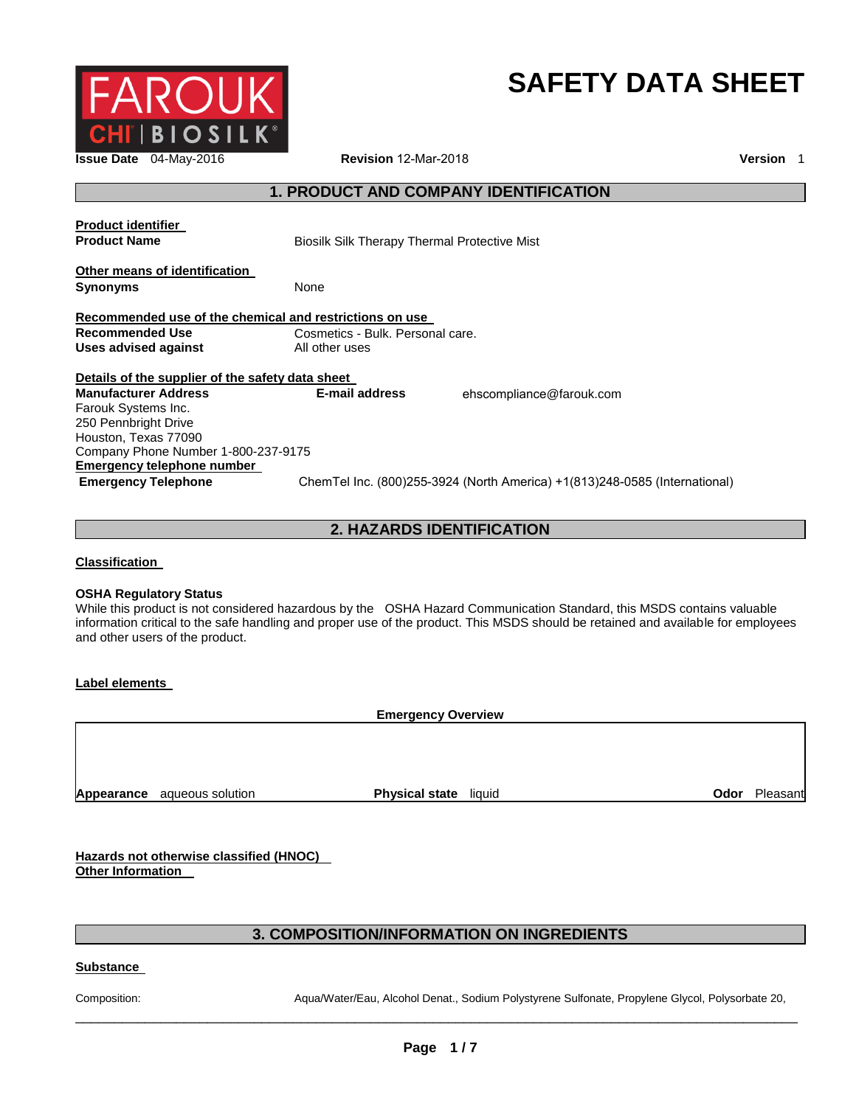

# **SAFETY DATA SHEET**

**Issue Date** 04-May-2016 **Revision** 12-Mar-2018 **Version** 1

# **1. PRODUCT AND COMPANY IDENTIFICATION**

| <b>Product identifier</b><br><b>Product Name</b>                                                                                                                        | Biosilk Silk Therapy Thermal Protective Mist       |                                                                            |  |
|-------------------------------------------------------------------------------------------------------------------------------------------------------------------------|----------------------------------------------------|----------------------------------------------------------------------------|--|
| Other means of identification<br>Synonyms                                                                                                                               | None                                               |                                                                            |  |
| Recommended use of the chemical and restrictions on use                                                                                                                 |                                                    |                                                                            |  |
| <b>Recommended Use</b><br>Uses advised against                                                                                                                          | Cosmetics - Bulk. Personal care.<br>All other uses |                                                                            |  |
| Details of the supplier of the safety data sheet                                                                                                                        |                                                    |                                                                            |  |
| <b>Manufacturer Address</b><br>Farouk Systems Inc.<br>250 Pennbright Drive<br>Houston, Texas 77090<br>Company Phone Number 1-800-237-9175<br>Emergency telephone number | E-mail address                                     | ehscompliance@farouk.com                                                   |  |
| <b>Emergency Telephone</b>                                                                                                                                              |                                                    | ChemTel Inc. (800)255-3924 (North America) +1(813)248-0585 (International) |  |

# **2. HAZARDS IDENTIFICATION**

**Classification** 

#### **OSHA Regulatory Status**

While this product is not considered hazardous by the OSHA Hazard Communication Standard, this MSDS contains valuable information critical to the safe handling and proper use of the product. This MSDS should be retained and available for employees and other users of the product.

#### **Label elements**

**Emergency Overview** 

**Appearance** aqueous solution **Physical state liquid Physical state <b>Physical Physical state Department Odor** Pleasant

**Hazards not otherwise classified (HNOC) Other Information** 

#### **3. COMPOSITION/INFORMATION ON INGREDIENTS**

#### **Substance**

Composition: Aqua/Water/Eau, Alcohol Denat., Sodium Polystyrene Sulfonate, Propylene Glycol, Polysorbate 20,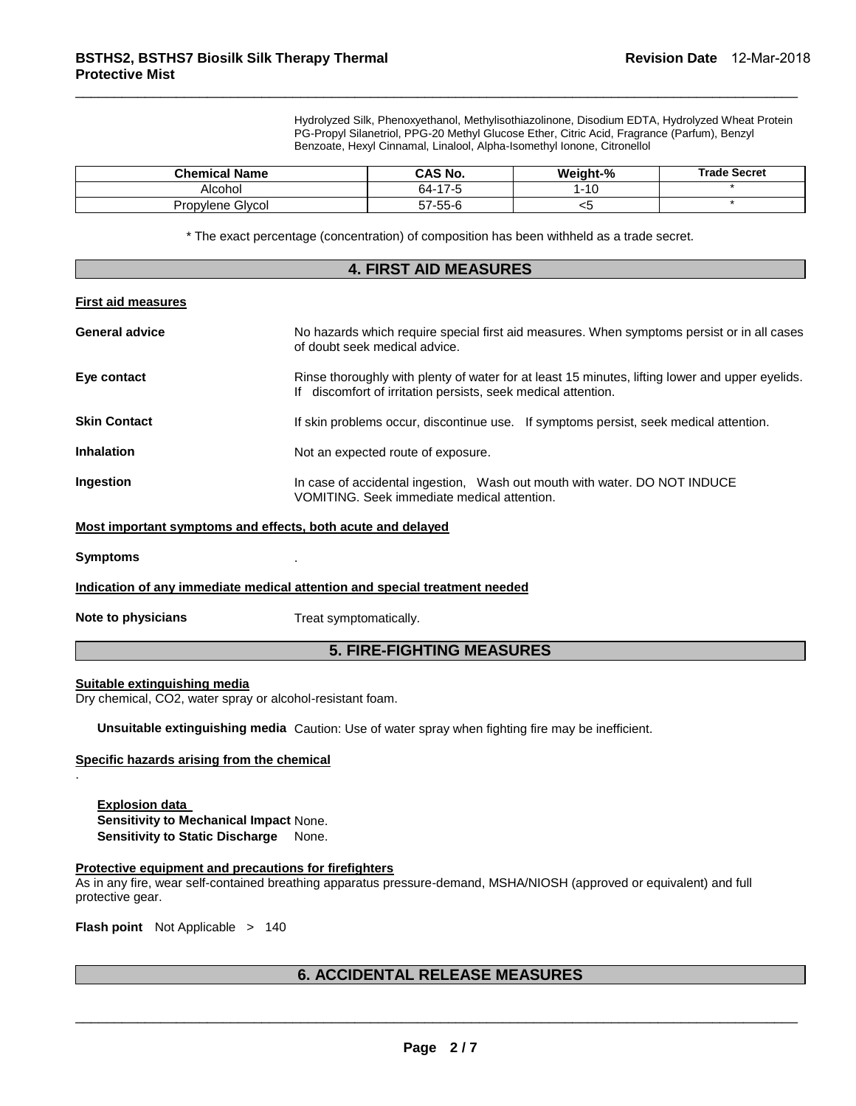Hydrolyzed Silk, Phenoxyethanol, Methylisothiazolinone, Disodium EDTA, Hydrolyzed Wheat Protein PG-Propyl Silanetriol, PPG-20 Methyl Glucose Ether, Citric Acid, Fragrance (Parfum), Benzyl Benzoate, Hexyl Cinnamal, Linalool, Alpha-Isomethyl Ionone, Citronellol

| <b>Chemical Name</b> | <b>CAS No.</b>       | Weight-%            | <b>Trade Secret</b> |
|----------------------|----------------------|---------------------|---------------------|
| Alcohol              | . 47 F<br>64-<br>7-5 | $\overline{A}$<br>U |                     |
| Propylene Glycol     | $57 - 55 - 6$        | ີ                   |                     |

\_\_\_\_\_\_\_\_\_\_\_\_\_\_\_\_\_\_\_\_\_\_\_\_\_\_\_\_\_\_\_\_\_\_\_\_\_\_\_\_\_\_\_\_\_\_\_\_\_\_\_\_\_\_\_\_\_\_\_\_\_\_\_\_\_\_\_\_\_\_\_\_\_\_\_\_\_\_\_\_\_\_\_\_\_\_\_\_\_\_\_\_\_

\* The exact percentage (concentration) of composition has been withheld as a trade secret. **4. FIRST AID MEASURES**

| 7. LINOT AIP MEAGOINEG                                      |                                                                                                                                                                  |  |
|-------------------------------------------------------------|------------------------------------------------------------------------------------------------------------------------------------------------------------------|--|
| <b>First aid measures</b>                                   |                                                                                                                                                                  |  |
| <b>General advice</b>                                       | No hazards which require special first aid measures. When symptoms persist or in all cases<br>of doubt seek medical advice.                                      |  |
| Eye contact                                                 | Rinse thoroughly with plenty of water for at least 15 minutes, lifting lower and upper eyelids.<br>If discomfort of irritation persists, seek medical attention. |  |
| <b>Skin Contact</b>                                         | If skin problems occur, discontinue use. If symptoms persist, seek medical attention.                                                                            |  |
| <b>Inhalation</b>                                           | Not an expected route of exposure.                                                                                                                               |  |
| Ingestion                                                   | In case of accidental ingestion, Wash out mouth with water. DO NOT INDUCE<br>VOMITING. Seek immediate medical attention.                                         |  |
| Most important symptoms and effects, both acute and delayed |                                                                                                                                                                  |  |
| <b>Symptoms</b>                                             |                                                                                                                                                                  |  |
|                                                             | Indication of any immediate medical attention and special treatment needed                                                                                       |  |

**Note to physicians Treat symptomatically.** 

# **5. FIRE-FIGHTING MEASURES**

#### **Suitable extinguishing media**

.

Dry chemical, CO2, water spray or alcohol-resistant foam.

**Unsuitable extinguishing media** Caution: Use of water spray when fighting fire may be inefficient.

### **Specific hazards arising from the chemical**

**Explosion data Sensitivity to Mechanical Impact** None. **Sensitivity to Static Discharge None.** 

#### **Protective equipment and precautions for firefighters**

As in any fire, wear self-contained breathing apparatus pressure-demand, MSHA/NIOSH (approved or equivalent) and full protective gear.

**Flash point** Not Applicable > 140

# **6. ACCIDENTAL RELEASE MEASURES**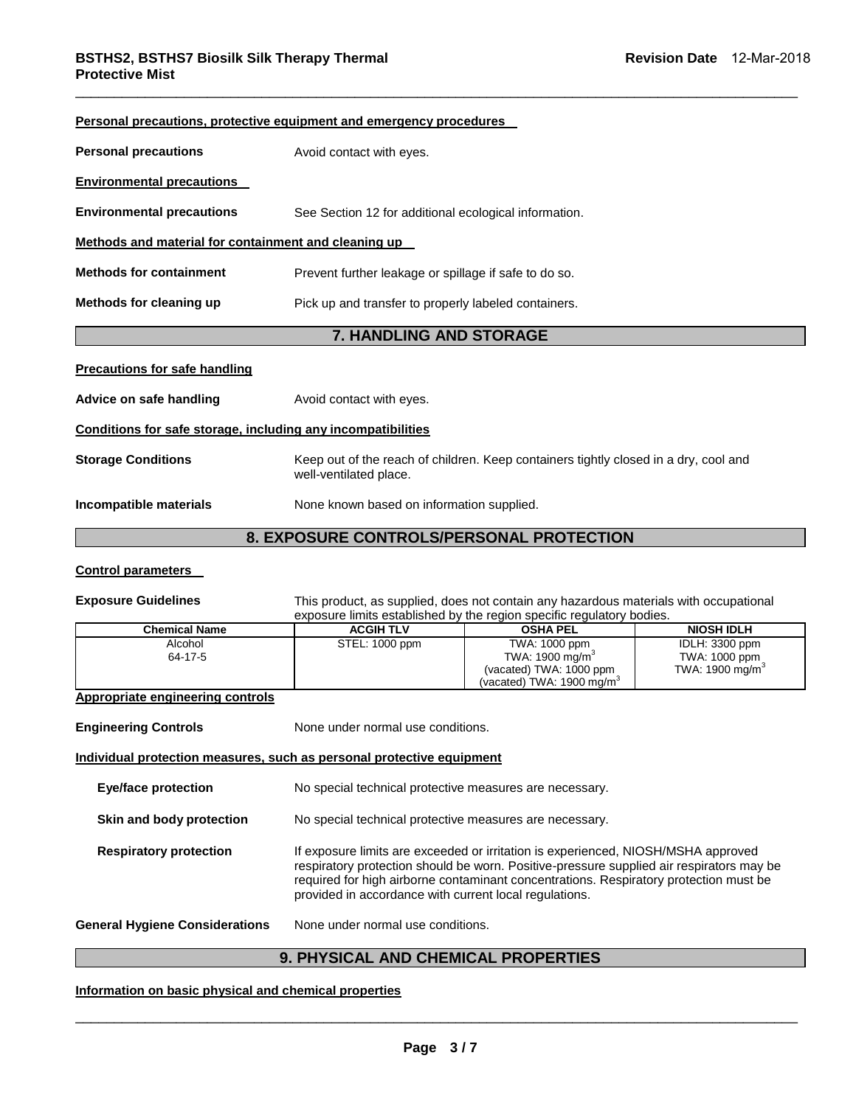| <b>Personal precautions, protective equipment and emergency procedures</b> |                                                                                                                |  |  |
|----------------------------------------------------------------------------|----------------------------------------------------------------------------------------------------------------|--|--|
| <b>Personal precautions</b>                                                | Avoid contact with eyes.                                                                                       |  |  |
| <b>Environmental precautions</b>                                           |                                                                                                                |  |  |
| <b>Environmental precautions</b>                                           | See Section 12 for additional ecological information.                                                          |  |  |
| Methods and material for containment and cleaning up                       |                                                                                                                |  |  |
| <b>Methods for containment</b>                                             | Prevent further leakage or spillage if safe to do so.                                                          |  |  |
| Methods for cleaning up                                                    | Pick up and transfer to properly labeled containers.                                                           |  |  |
| 7. HANDLING AND STORAGE                                                    |                                                                                                                |  |  |
| <b>Precautions for safe handling</b>                                       |                                                                                                                |  |  |
| Advice on safe handling                                                    | Avoid contact with eyes.                                                                                       |  |  |
| Conditions for safe storage, including any incompatibilities               |                                                                                                                |  |  |
| <b>Storage Conditions</b>                                                  | Keep out of the reach of children. Keep containers tightly closed in a dry, cool and<br>well-ventilated place. |  |  |
| Incompatible materials                                                     | None known based on information supplied.                                                                      |  |  |
| <b>8. EXPOSURE CONTROLS/PERSONAL PROTECTION</b>                            |                                                                                                                |  |  |

\_\_\_\_\_\_\_\_\_\_\_\_\_\_\_\_\_\_\_\_\_\_\_\_\_\_\_\_\_\_\_\_\_\_\_\_\_\_\_\_\_\_\_\_\_\_\_\_\_\_\_\_\_\_\_\_\_\_\_\_\_\_\_\_\_\_\_\_\_\_\_\_\_\_\_\_\_\_\_\_\_\_\_\_\_\_\_\_\_\_\_\_\_

#### **Control parameters**

**Exposure Guidelines** This product, as supplied, does not contain any hazardous materials with occupational exposure limits established by the region specific regulatory bodies.

| <b>Chemical Name</b> | <b>ACGIH TLV</b> | <b>OSHA PEL</b>                      | <b>NIOSH IDLH</b>          |
|----------------------|------------------|--------------------------------------|----------------------------|
| Alcohol              | STEL: 1000 ppm   | TWA: 1000 ppm                        | IDLH: 3300 ppm             |
| 64-17-5              |                  | TWA: $1900 \text{ mg/m}^3$           | TWA: 1000 ppm              |
|                      |                  | (vacated) TWA: 1000 ppm              | TWA: $1900 \text{ mg/m}^3$ |
|                      |                  | (vacated) TWA: $1900 \text{ ma/m}^3$ |                            |

# **Appropriate engineering controls**

| <b>Engineering Controls</b>           | None under normal use conditions.                                                                                                                                                                                                                                                                                                |  |
|---------------------------------------|----------------------------------------------------------------------------------------------------------------------------------------------------------------------------------------------------------------------------------------------------------------------------------------------------------------------------------|--|
|                                       | Individual protection measures, such as personal protective equipment                                                                                                                                                                                                                                                            |  |
| <b>Eye/face protection</b>            | No special technical protective measures are necessary.                                                                                                                                                                                                                                                                          |  |
| Skin and body protection              | No special technical protective measures are necessary.                                                                                                                                                                                                                                                                          |  |
| <b>Respiratory protection</b>         | If exposure limits are exceeded or irritation is experienced, NIOSH/MSHA approved<br>respiratory protection should be worn. Positive-pressure supplied air respirators may be<br>required for high airborne contaminant concentrations. Respiratory protection must be<br>provided in accordance with current local regulations. |  |
| <b>General Hygiene Considerations</b> | None under normal use conditions.                                                                                                                                                                                                                                                                                                |  |

# **9. PHYSICAL AND CHEMICAL PROPERTIES**

# **Information on basic physical and chemical properties**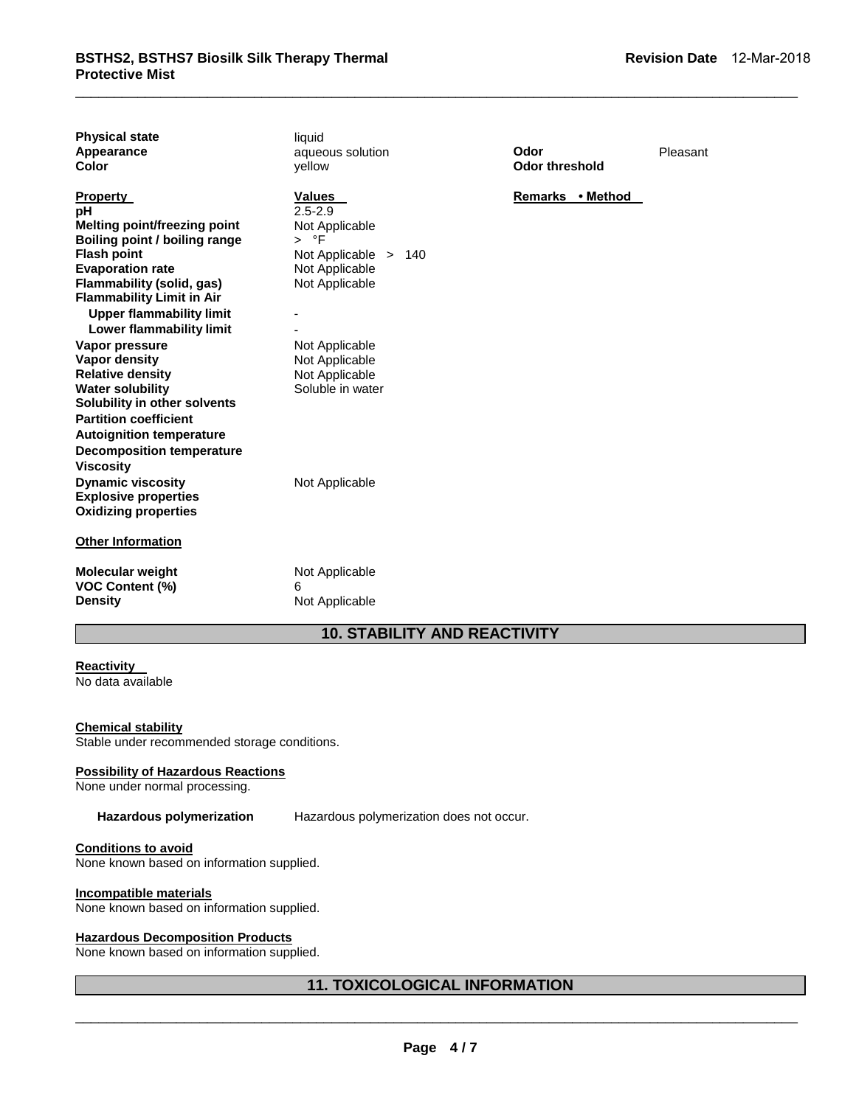| <b>Physical state</b><br>Appearance<br>Color                                                                                                                                                                                                                                                                                                                                                                                            | liquid<br>aqueous solution<br>vellow                                                                                                                                                         | Odor<br><b>Odor threshold</b> | Pleasant |
|-----------------------------------------------------------------------------------------------------------------------------------------------------------------------------------------------------------------------------------------------------------------------------------------------------------------------------------------------------------------------------------------------------------------------------------------|----------------------------------------------------------------------------------------------------------------------------------------------------------------------------------------------|-------------------------------|----------|
| <b>Property</b><br>рH<br><b>Melting point/freezing point</b><br>Boiling point / boiling range<br><b>Flash point</b><br><b>Evaporation rate</b><br>Flammability (solid, gas)<br><b>Flammability Limit in Air</b><br><b>Upper flammability limit</b><br>Lower flammability limit<br>Vapor pressure<br>Vapor density<br><b>Relative density</b><br><b>Water solubility</b><br>Solubility in other solvents<br><b>Partition coefficient</b> | <b>Values</b><br>$2.5 - 2.9$<br>Not Applicable<br>> °F<br>Not Applicable > 140<br>Not Applicable<br>Not Applicable<br>Not Applicable<br>Not Applicable<br>Not Applicable<br>Soluble in water | Remarks • Method              |          |
| <b>Autoignition temperature</b><br><b>Decomposition temperature</b><br><b>Viscosity</b><br><b>Dynamic viscosity</b><br><b>Explosive properties</b><br><b>Oxidizing properties</b><br><b>Other Information</b><br><b>Molecular weight</b><br><b>VOC Content (%)</b>                                                                                                                                                                      | Not Applicable<br>Not Applicable<br>6                                                                                                                                                        |                               |          |
| <b>Density</b>                                                                                                                                                                                                                                                                                                                                                                                                                          | Not Applicable                                                                                                                                                                               |                               |          |

\_\_\_\_\_\_\_\_\_\_\_\_\_\_\_\_\_\_\_\_\_\_\_\_\_\_\_\_\_\_\_\_\_\_\_\_\_\_\_\_\_\_\_\_\_\_\_\_\_\_\_\_\_\_\_\_\_\_\_\_\_\_\_\_\_\_\_\_\_\_\_\_\_\_\_\_\_\_\_\_\_\_\_\_\_\_\_\_\_\_\_\_\_

# **10. STABILITY AND REACTIVITY**

# **Reactivity**

No data available

#### **Chemical stability**

Stable under recommended storage conditions.

#### **Possibility of Hazardous Reactions**

None under normal processing.

**Hazardous polymerization** Hazardous polymerization does not occur.

#### **Conditions to avoid**

None known based on information supplied.

#### **Incompatible materials**

None known based on information supplied.

#### **Hazardous Decomposition Products**

None known based on information supplied.

# **11. TOXICOLOGICAL INFORMATION**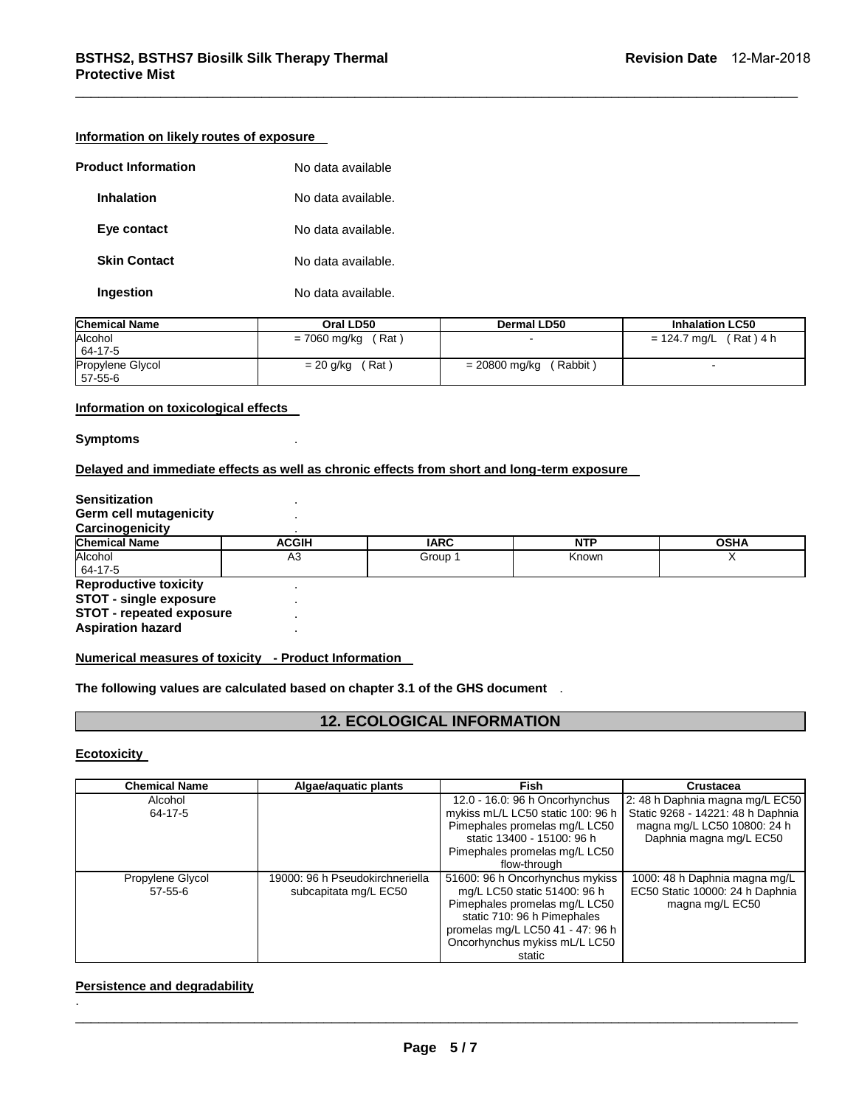#### **Information on likely routes of exposure**

| <b>Product Information</b> | No data available  |
|----------------------------|--------------------|
| Inhalation                 | No data available. |
| Eye contact                | No data available. |
| <b>Skin Contact</b>        | No data available. |
| Ingestion                  | No data available. |

| Chemical Name               | Oral LD50             | <b>Dermal LD50</b>        | <b>Inhalation LC50</b>   |
|-----------------------------|-----------------------|---------------------------|--------------------------|
| Alcohol<br>64-17-5          | (Rat)<br>= 7060 mg/kg |                           | $= 124.7$ mg/L (Rat) 4 h |
| Propylene Glycol<br>57-55-6 | $= 20$ g/kg (Rat)     | (Rabbit)<br>= 20800 mg/kg |                          |

\_\_\_\_\_\_\_\_\_\_\_\_\_\_\_\_\_\_\_\_\_\_\_\_\_\_\_\_\_\_\_\_\_\_\_\_\_\_\_\_\_\_\_\_\_\_\_\_\_\_\_\_\_\_\_\_\_\_\_\_\_\_\_\_\_\_\_\_\_\_\_\_\_\_\_\_\_\_\_\_\_\_\_\_\_\_\_\_\_\_\_\_\_

#### **Information on toxicological effects**

#### **Symptoms** .

# **Delayed and immediate effects as well as chronic effects from short and long-term exposure**

| <b>Sensitization</b>            |              |             |            |             |
|---------------------------------|--------------|-------------|------------|-------------|
| Germ cell mutagenicity          |              |             |            |             |
| Carcinogenicity                 |              |             |            |             |
| <b>Chemical Name</b>            | <b>ACGIH</b> | <b>IARC</b> | <b>NTP</b> | <b>OSHA</b> |
| Alcohol                         | A3           | Group 1     | Known      |             |
| 64-17-5                         |              |             |            |             |
| <b>Reproductive toxicity</b>    |              |             |            |             |
| <b>STOT - single exposure</b>   |              |             |            |             |
| <b>STOT - repeated exposure</b> |              |             |            |             |
| <b>Aspiration hazard</b>        |              |             |            |             |

#### **Numerical measures of toxicity - Product Information**

**The following values are calculated based on chapter 3.1 of the GHS document** .

### **12. ECOLOGICAL INFORMATION**

#### **Ecotoxicity**

.

| <b>Chemical Name</b>              | Algae/aquatic plants                                     | <b>Fish</b>                                                                                                                                                                                                    | Crustacea                                                                                                                      |
|-----------------------------------|----------------------------------------------------------|----------------------------------------------------------------------------------------------------------------------------------------------------------------------------------------------------------------|--------------------------------------------------------------------------------------------------------------------------------|
| Alcohol<br>64-17-5                |                                                          | 12.0 - 16.0: 96 h Oncorhynchus<br>mykiss mL/L LC50 static 100: 96 h<br>Pimephales promelas mg/L LC50<br>static 13400 - 15100: 96 h<br>Pimephales promelas mg/L LC50<br>flow-through                            | 2: 48 h Daphnia magna mg/L EC50<br>Static 9268 - 14221: 48 h Daphnia<br>magna mg/L LC50 10800: 24 h<br>Daphnia magna mg/L EC50 |
| Propylene Glycol<br>$57 - 55 - 6$ | 19000: 96 h Pseudokirchneriella<br>subcapitata mg/L EC50 | 51600: 96 h Oncorhynchus mykiss<br>mg/L LC50 static 51400: 96 h<br>Pimephales promelas mg/L LC50<br>static 710: 96 h Pimephales<br>promelas mg/L LC50 41 - 47: 96 h<br>Oncorhynchus mykiss mL/L LC50<br>static | 1000: 48 h Daphnia magna mg/L<br>EC50 Static 10000: 24 h Daphnia<br>magna mg/L EC50                                            |

#### **Persistence and degradability**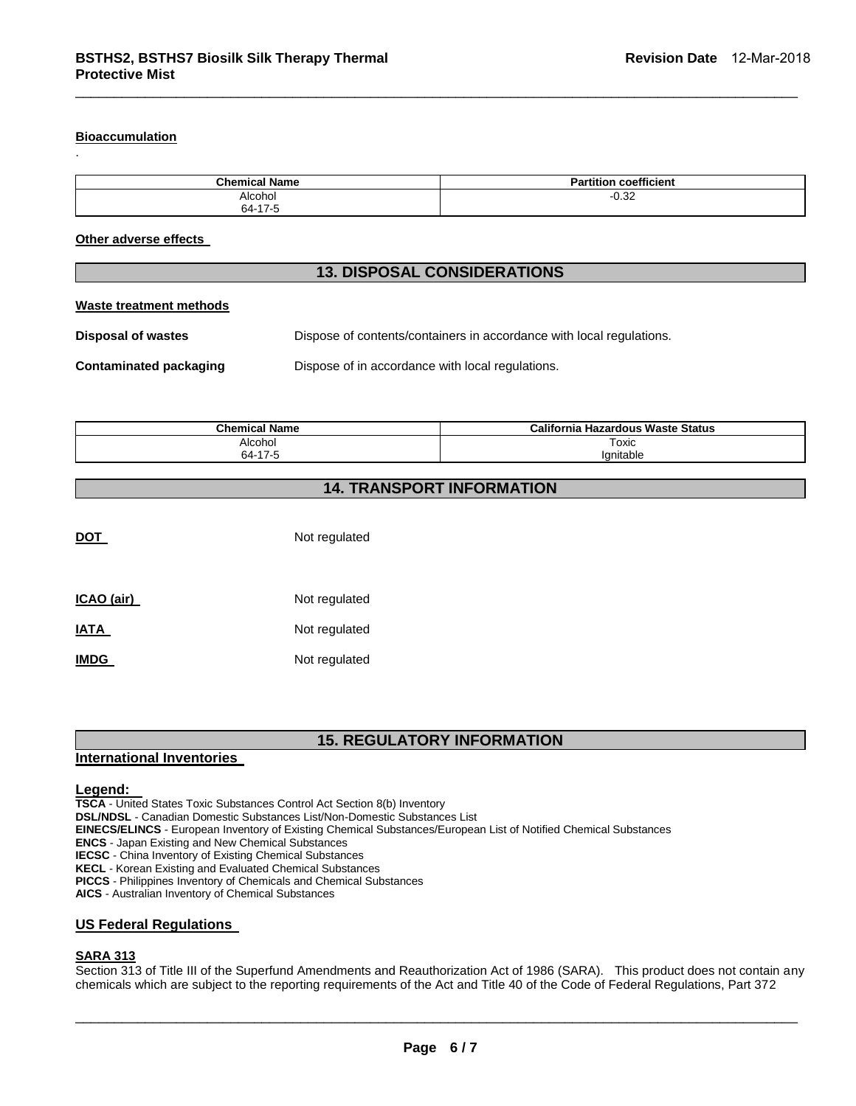#### **Bioaccumulation**

.

| <b>Chemical Name</b>                  | <br>$-1$<br>coefficient<br>-- |
|---------------------------------------|-------------------------------|
| Alcohol<br>.<br>$\rightarrow$<br>64-1 | $\Omega$<br>$-0.32$           |

\_\_\_\_\_\_\_\_\_\_\_\_\_\_\_\_\_\_\_\_\_\_\_\_\_\_\_\_\_\_\_\_\_\_\_\_\_\_\_\_\_\_\_\_\_\_\_\_\_\_\_\_\_\_\_\_\_\_\_\_\_\_\_\_\_\_\_\_\_\_\_\_\_\_\_\_\_\_\_\_\_\_\_\_\_\_\_\_\_\_\_\_\_

#### **Other adverse effects**

### **13. DISPOSAL CONSIDERATIONS**

#### **Waste treatment methods**

| Disposal of wastes     | Dispose of contents/containers in accordance with local regulations. |  |  |
|------------------------|----------------------------------------------------------------------|--|--|
| Contaminated packaging | Dispose of in accordance with local regulations.                     |  |  |

| <b>Chemical</b>             | California               |  |  |
|-----------------------------|--------------------------|--|--|
| ' Name                      | ı Hazardous Waste Status |  |  |
| Alcohol                     | Toxic                    |  |  |
| .                           |                          |  |  |
| .47<br>-<br><u>_</u><br>64- | Ignitable                |  |  |

# **14. TRANSPORT INFORMATION**

| DOT         | Not regulated |
|-------------|---------------|
| ICAO (air)  | Not regulated |
| <b>IATA</b> | Not regulated |
| <b>IMDG</b> | Not regulated |

# **15. REGULATORY INFORMATION**

#### **International Inventories**

#### **Legend:**

**TSCA** - United States Toxic Substances Control Act Section 8(b) Inventory

**DSL/NDSL** - Canadian Domestic Substances List/Non-Domestic Substances List

**EINECS/ELINCS** - European Inventory of Existing Chemical Substances/European List of Notified Chemical Substances

**ENCS** - Japan Existing and New Chemical Substances

**IECSC** - China Inventory of Existing Chemical Substances

**KECL** - Korean Existing and Evaluated Chemical Substances

**PICCS** - Philippines Inventory of Chemicals and Chemical Substances

**AICS** - Australian Inventory of Chemical Substances

#### **US Federal Regulations**

# **SARA 313**

Section 313 of Title III of the Superfund Amendments and Reauthorization Act of 1986 (SARA). This product does not contain any chemicals which are subject to the reporting requirements of the Act and Title 40 of the Code of Federal Regulations, Part 372